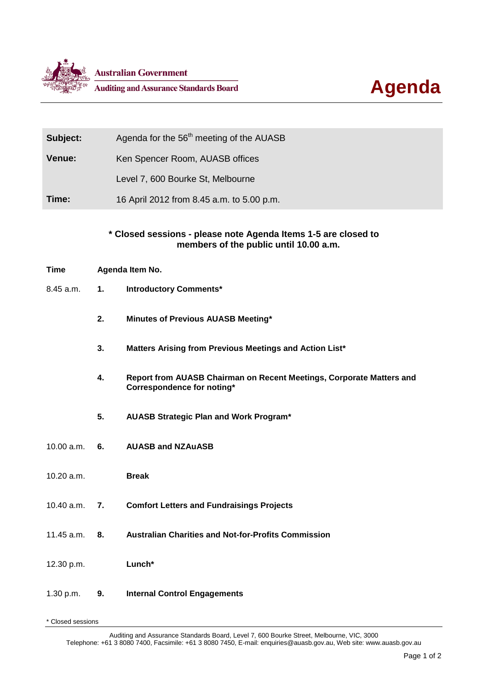



| Subject: | Agenda for the 56 <sup>th</sup> meeting of the AUASB |
|----------|------------------------------------------------------|
| Venue:   | Ken Spencer Room, AUASB offices                      |
|          | Level 7, 600 Bourke St, Melbourne                    |
| Time:    | 16 April 2012 from 8.45 a.m. to 5.00 p.m.            |

## **\* Closed sessions - please note Agenda Items 1-5 are closed to members of the public until 10.00 a.m.**

- **Time Agenda Item No.**
- 8.45 a.m. **1. Introductory Comments\***
	- **2. Minutes of Previous AUASB Meeting\***
	- **3. Matters Arising from Previous Meetings and Action List\***
	- **4. Report from AUASB Chairman on Recent Meetings, Corporate Matters and Correspondence for noting\***
	- **5. AUASB Strategic Plan and Work Program\***
- 10.00 a.m. **6. AUASB and NZAuASB**
- 10.20 a.m. **Break**
- 10.40 a.m. **7. Comfort Letters and Fundraisings Projects**
- 11.45 a.m. **8. Australian Charities and Not-for-Profits Commission**
- 12.30 p.m. **Lunch\***

## 1.30 p.m. **9. Internal Control Engagements**

\* Closed sessions